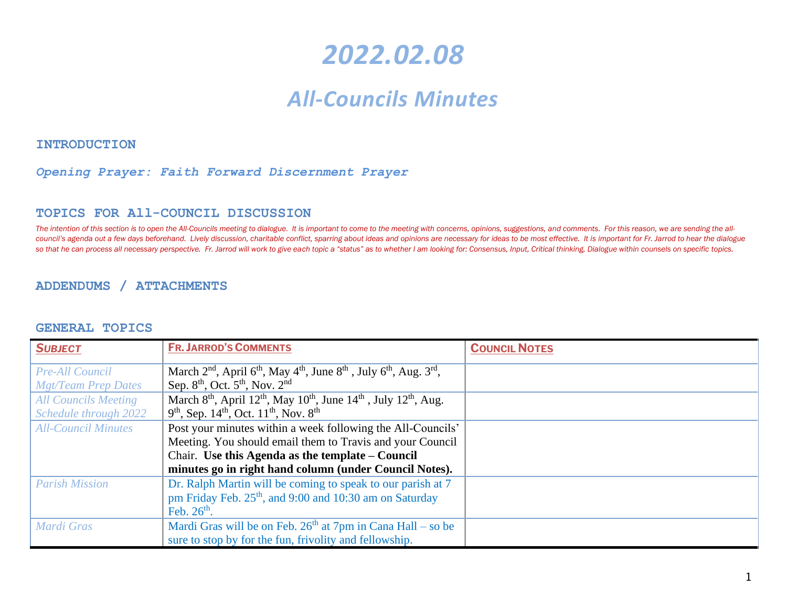# *2022.02.08*

# *All-Councils Minutes*

**INTRODUCTION** 

#### *Opening Prayer: Faith Forward Discernment Prayer*

#### **TOPICS FOR All-COUNCIL DISCUSSION**

The intention of this section is to open the All-Councils meeting to dialogue. It is important to come to the meeting with concerns, opinions, suggestions, and comments. For this reason, we are sending the allcouncil's agenda out a few days beforehand. Lively discussion, charitable conflict, sparring about ideas and opinions are necessary for ideas to be most effective. It is important for Fr. Jarrod to hear the dialogue so that he can process all necessary perspective. Fr. Jarrod will work to give each topic a "status" as to whether I am looking for: Consensus, Input, Critical thinking, Dialogue within counsels on specific topics.

#### **ADDENDUMS / ATTACHMENTS**

#### **GENERAL TOPICS**

| <b>SUBJECT</b>              | <b>FR. JARROD'S COMMENTS</b>                                                                                                     | <b>COUNCIL NOTES</b> |
|-----------------------------|----------------------------------------------------------------------------------------------------------------------------------|----------------------|
| <b>Pre-All Council</b>      | March $2nd$ , April 6 <sup>th</sup> , May 4 <sup>th</sup> , June 8 <sup>th</sup> , July 6 <sup>th</sup> , Aug. 3 <sup>rd</sup> , |                      |
| <b>Mgt/Team Prep Dates</b>  | Sep. $8th$ , Oct. $5th$ , Nov. $2nd$                                                                                             |                      |
| <b>All Councils Meeting</b> | March 8 <sup>th</sup> , April 12 <sup>th</sup> , May 10 <sup>th</sup> , June 14 <sup>th</sup> , July 12 <sup>th</sup> , Aug.     |                      |
| Schedule through 2022       | $9th$ , Sep. 14 <sup>th</sup> , Oct. 11 <sup>th</sup> , Nov. 8 <sup>th</sup>                                                     |                      |
| <b>All-Council Minutes</b>  | Post your minutes within a week following the All-Councils'                                                                      |                      |
|                             | Meeting. You should email them to Travis and your Council                                                                        |                      |
|                             | Chair. Use this Agenda as the template – Council                                                                                 |                      |
|                             | minutes go in right hand column (under Council Notes).                                                                           |                      |
| <b>Parish Mission</b>       | Dr. Ralph Martin will be coming to speak to our parish at 7                                                                      |                      |
|                             | pm Friday Feb. 25 <sup>th</sup> , and 9:00 and 10:30 am on Saturday                                                              |                      |
|                             | Feb. $26th$ .                                                                                                                    |                      |
| Mardi Gras                  | Mardi Gras will be on Feb. $26th$ at 7pm in Cana Hall – so be                                                                    |                      |
|                             | sure to stop by for the fun, frivolity and fellowship.                                                                           |                      |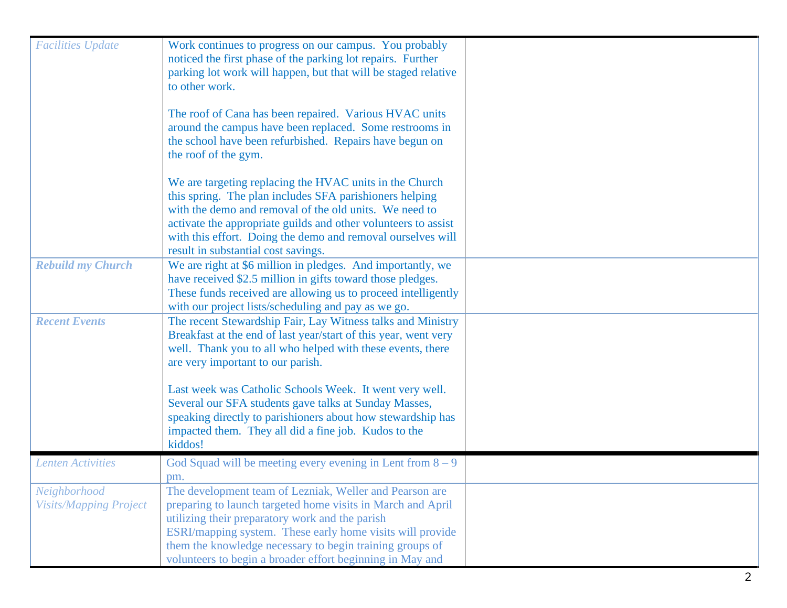| <b>Facilities Update</b>      | Work continues to progress on our campus. You probably          |  |
|-------------------------------|-----------------------------------------------------------------|--|
|                               | noticed the first phase of the parking lot repairs. Further     |  |
|                               | parking lot work will happen, but that will be staged relative  |  |
|                               | to other work.                                                  |  |
|                               |                                                                 |  |
|                               | The roof of Cana has been repaired. Various HVAC units          |  |
|                               | around the campus have been replaced. Some restrooms in         |  |
|                               | the school have been refurbished. Repairs have begun on         |  |
|                               | the roof of the gym.                                            |  |
|                               |                                                                 |  |
|                               | We are targeting replacing the HVAC units in the Church         |  |
|                               | this spring. The plan includes SFA parishioners helping         |  |
|                               | with the demo and removal of the old units. We need to          |  |
|                               | activate the appropriate guilds and other volunteers to assist  |  |
|                               | with this effort. Doing the demo and removal ourselves will     |  |
|                               | result in substantial cost savings.                             |  |
| <b>Rebuild my Church</b>      | We are right at \$6 million in pledges. And importantly, we     |  |
|                               | have received \$2.5 million in gifts toward those pledges.      |  |
|                               | These funds received are allowing us to proceed intelligently   |  |
|                               | with our project lists/scheduling and pay as we go.             |  |
| <b>Recent Events</b>          | The recent Stewardship Fair, Lay Witness talks and Ministry     |  |
|                               | Breakfast at the end of last year/start of this year, went very |  |
|                               | well. Thank you to all who helped with these events, there      |  |
|                               | are very important to our parish.                               |  |
|                               |                                                                 |  |
|                               | Last week was Catholic Schools Week. It went very well.         |  |
|                               | Several our SFA students gave talks at Sunday Masses,           |  |
|                               | speaking directly to parishioners about how stewardship has     |  |
|                               | impacted them. They all did a fine job. Kudos to the            |  |
|                               | kiddos!                                                         |  |
| <b>Lenten Activities</b>      | God Squad will be meeting every evening in Lent from $8 - 9$    |  |
|                               | pm.                                                             |  |
| Neighborhood                  | The development team of Lezniak, Weller and Pearson are         |  |
| <b>Visits/Mapping Project</b> | preparing to launch targeted home visits in March and April     |  |
|                               | utilizing their preparatory work and the parish                 |  |
|                               | ESRI/mapping system. These early home visits will provide       |  |
|                               | them the knowledge necessary to begin training groups of        |  |
|                               | volunteers to begin a broader effort beginning in May and       |  |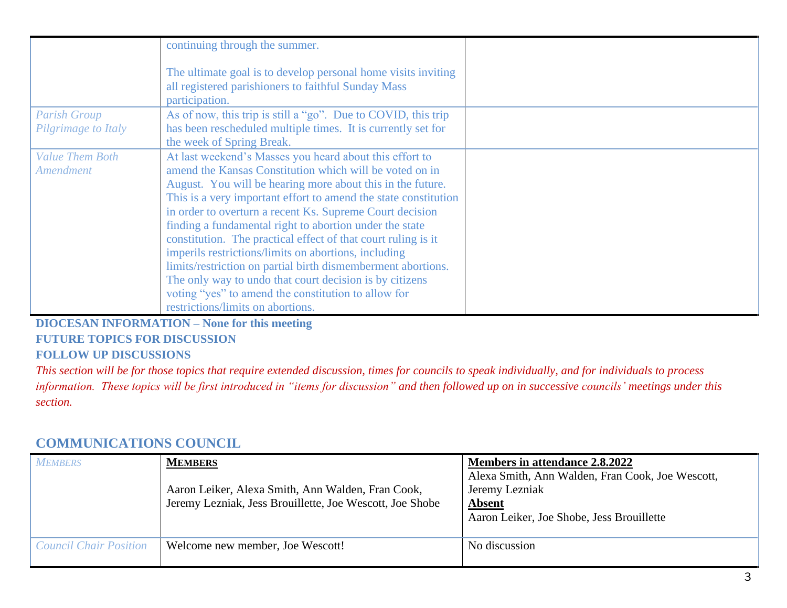|                        | continuing through the summer.                                                                                                         |  |
|------------------------|----------------------------------------------------------------------------------------------------------------------------------------|--|
|                        | The ultimate goal is to develop personal home visits inviting<br>all registered parishioners to faithful Sunday Mass<br>participation. |  |
| <b>Parish Group</b>    | As of now, this trip is still a "go". Due to COVID, this trip                                                                          |  |
| Pilgrimage to Italy    | has been rescheduled multiple times. It is currently set for                                                                           |  |
|                        | the week of Spring Break.                                                                                                              |  |
| <b>Value Them Both</b> | At last weekend's Masses you heard about this effort to                                                                                |  |
| <b>Amendment</b>       | amend the Kansas Constitution which will be voted on in                                                                                |  |
|                        | August. You will be hearing more about this in the future.                                                                             |  |
|                        | This is a very important effort to amend the state constitution                                                                        |  |
|                        | in order to overturn a recent Ks. Supreme Court decision                                                                               |  |
|                        | finding a fundamental right to abortion under the state                                                                                |  |
|                        | constitution. The practical effect of that court ruling is it                                                                          |  |
|                        | imperils restrictions/limits on abortions, including                                                                                   |  |
|                        | limits/restriction on partial birth dismemberment abortions.                                                                           |  |
|                        | The only way to undo that court decision is by citizens                                                                                |  |
|                        | voting "yes" to amend the constitution to allow for                                                                                    |  |
|                        | restrictions/limits on abortions.                                                                                                      |  |

**DIOCESAN INFORMATION – None for this meeting FUTURE TOPICS FOR DISCUSSION FOLLOW UP DISCUSSIONS** 

*This section will be for those topics that require extended discussion, times for councils to speak individually, and for individuals to process information. These topics will be first introduced in "items for discussion" and then followed up on in successive councils' meetings under this section.*

### **COMMUNICATIONS COUNCIL**

| <b>MEMBERS</b>                | <b>MEMBERS</b><br>Aaron Leiker, Alexa Smith, Ann Walden, Fran Cook,<br>Jeremy Lezniak, Jess Brouillette, Joe Wescott, Joe Shobe | Members in attendance 2.8.2022<br>Alexa Smith, Ann Walden, Fran Cook, Joe Wescott,<br>Jeremy Lezniak<br><b>Absent</b><br>Aaron Leiker, Joe Shobe, Jess Brouillette |
|-------------------------------|---------------------------------------------------------------------------------------------------------------------------------|--------------------------------------------------------------------------------------------------------------------------------------------------------------------|
| <b>Council Chair Position</b> | Welcome new member, Joe Wescott!                                                                                                | No discussion                                                                                                                                                      |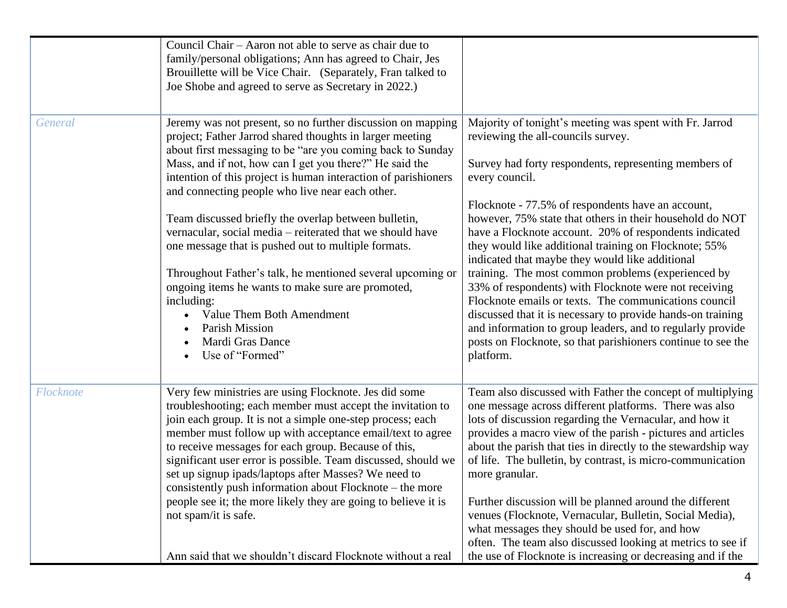|           | Council Chair – Aaron not able to serve as chair due to<br>family/personal obligations; Ann has agreed to Chair, Jes<br>Brouillette will be Vice Chair. (Separately, Fran talked to<br>Joe Shobe and agreed to serve as Secretary in 2022.)                                                                                                                                                                                                                                                                                                                                                                                                                                                                                                                              |                                                                                                                                                                                                                                                                                                                                                                                                                                                                                                                                                                                                                                                                                                                                                                                                                                                   |
|-----------|--------------------------------------------------------------------------------------------------------------------------------------------------------------------------------------------------------------------------------------------------------------------------------------------------------------------------------------------------------------------------------------------------------------------------------------------------------------------------------------------------------------------------------------------------------------------------------------------------------------------------------------------------------------------------------------------------------------------------------------------------------------------------|---------------------------------------------------------------------------------------------------------------------------------------------------------------------------------------------------------------------------------------------------------------------------------------------------------------------------------------------------------------------------------------------------------------------------------------------------------------------------------------------------------------------------------------------------------------------------------------------------------------------------------------------------------------------------------------------------------------------------------------------------------------------------------------------------------------------------------------------------|
| General   | Jeremy was not present, so no further discussion on mapping<br>project; Father Jarrod shared thoughts in larger meeting<br>about first messaging to be "are you coming back to Sunday<br>Mass, and if not, how can I get you there?" He said the<br>intention of this project is human interaction of parishioners<br>and connecting people who live near each other.<br>Team discussed briefly the overlap between bulletin,<br>vernacular, social media – reiterated that we should have<br>one message that is pushed out to multiple formats.<br>Throughout Father's talk, he mentioned several upcoming or<br>ongoing items he wants to make sure are promoted,<br>including:<br>Value Them Both Amendment<br>Parish Mission<br>Mardi Gras Dance<br>Use of "Formed" | Majority of tonight's meeting was spent with Fr. Jarrod<br>reviewing the all-councils survey.<br>Survey had forty respondents, representing members of<br>every council.<br>Flocknote - 77.5% of respondents have an account,<br>however, 75% state that others in their household do NOT<br>have a Flocknote account. 20% of respondents indicated<br>they would like additional training on Flocknote; 55%<br>indicated that maybe they would like additional<br>training. The most common problems (experienced by<br>33% of respondents) with Flocknote were not receiving<br>Flocknote emails or texts. The communications council<br>discussed that it is necessary to provide hands-on training<br>and information to group leaders, and to regularly provide<br>posts on Flocknote, so that parishioners continue to see the<br>platform. |
| Flocknote | Very few ministries are using Flocknote. Jes did some<br>troubleshooting; each member must accept the invitation to<br>join each group. It is not a simple one-step process; each<br>member must follow up with acceptance email/text to agree<br>to receive messages for each group. Because of this,<br>significant user error is possible. Team discussed, should we<br>set up signup ipads/laptops after Masses? We need to<br>consistently push information about Flocknote – the more<br>people see it; the more likely they are going to believe it is<br>not spam/it is safe.<br>Ann said that we shouldn't discard Flocknote without a real                                                                                                                     | Team also discussed with Father the concept of multiplying<br>one message across different platforms. There was also<br>lots of discussion regarding the Vernacular, and how it<br>provides a macro view of the parish - pictures and articles<br>about the parish that ties in directly to the stewardship way<br>of life. The bulletin, by contrast, is micro-communication<br>more granular.<br>Further discussion will be planned around the different<br>venues (Flocknote, Vernacular, Bulletin, Social Media),<br>what messages they should be used for, and how<br>often. The team also discussed looking at metrics to see if<br>the use of Flocknote is increasing or decreasing and if the                                                                                                                                             |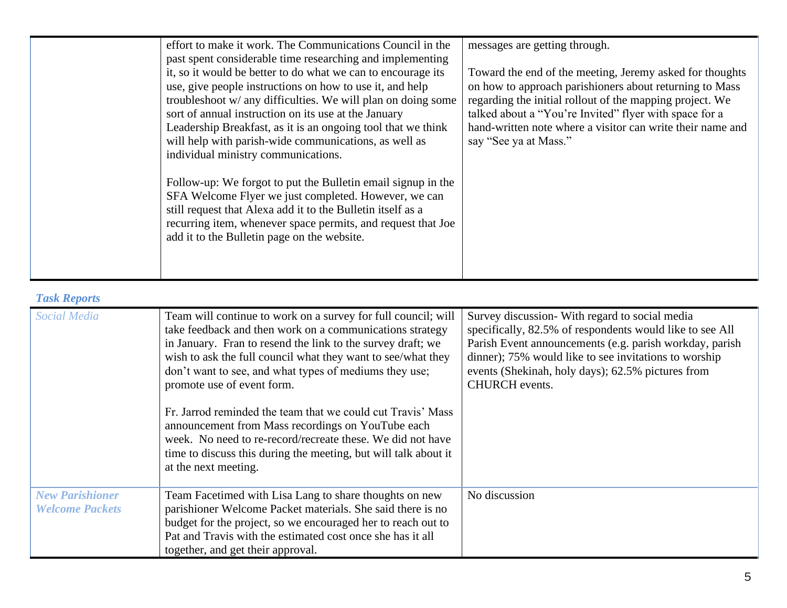| effort to make it work. The Communications Council in the<br>past spent considerable time researching and implementing<br>it, so it would be better to do what we can to encourage its<br>use, give people instructions on how to use it, and help<br>troubleshoot w/ any difficulties. We will plan on doing some<br>sort of annual instruction on its use at the January<br>Leadership Breakfast, as it is an ongoing tool that we think<br>will help with parish-wide communications, as well as<br>individual ministry communications. | messages are getting through.<br>Toward the end of the meeting, Jeremy asked for thoughts<br>on how to approach parishioners about returning to Mass<br>regarding the initial rollout of the mapping project. We<br>talked about a "You're Invited" flyer with space for a<br>hand-written note where a visitor can write their name and<br>say "See ya at Mass." |
|--------------------------------------------------------------------------------------------------------------------------------------------------------------------------------------------------------------------------------------------------------------------------------------------------------------------------------------------------------------------------------------------------------------------------------------------------------------------------------------------------------------------------------------------|-------------------------------------------------------------------------------------------------------------------------------------------------------------------------------------------------------------------------------------------------------------------------------------------------------------------------------------------------------------------|
| Follow-up: We forgot to put the Bulletin email signup in the<br>SFA Welcome Flyer we just completed. However, we can<br>still request that Alexa add it to the Bulletin itself as a<br>recurring item, whenever space permits, and request that Joe<br>add it to the Bulletin page on the website.                                                                                                                                                                                                                                         |                                                                                                                                                                                                                                                                                                                                                                   |

### *Task Reports*

| <b>Social Media</b>                              | Team will continue to work on a survey for full council; will<br>take feedback and then work on a communications strategy<br>in January. Fran to resend the link to the survey draft; we<br>wish to ask the full council what they want to see/what they<br>don't want to see, and what types of mediums they use;<br>promote use of event form.<br>Fr. Jarrod reminded the team that we could cut Travis' Mass<br>announcement from Mass recordings on YouTube each<br>week. No need to re-record/recreate these. We did not have<br>time to discuss this during the meeting, but will talk about it<br>at the next meeting. | Survey discussion- With regard to social media<br>specifically, 82.5% of respondents would like to see All<br>Parish Event announcements (e.g. parish workday, parish<br>dinner); 75% would like to see invitations to worship<br>events (Shekinah, holy days); 62.5% pictures from<br>CHURCH events. |
|--------------------------------------------------|-------------------------------------------------------------------------------------------------------------------------------------------------------------------------------------------------------------------------------------------------------------------------------------------------------------------------------------------------------------------------------------------------------------------------------------------------------------------------------------------------------------------------------------------------------------------------------------------------------------------------------|-------------------------------------------------------------------------------------------------------------------------------------------------------------------------------------------------------------------------------------------------------------------------------------------------------|
| <b>New Parishioner</b><br><b>Welcome Packets</b> | Team Facetimed with Lisa Lang to share thoughts on new<br>parishioner Welcome Packet materials. She said there is no<br>budget for the project, so we encouraged her to reach out to<br>Pat and Travis with the estimated cost once she has it all<br>together, and get their approval.                                                                                                                                                                                                                                                                                                                                       | No discussion                                                                                                                                                                                                                                                                                         |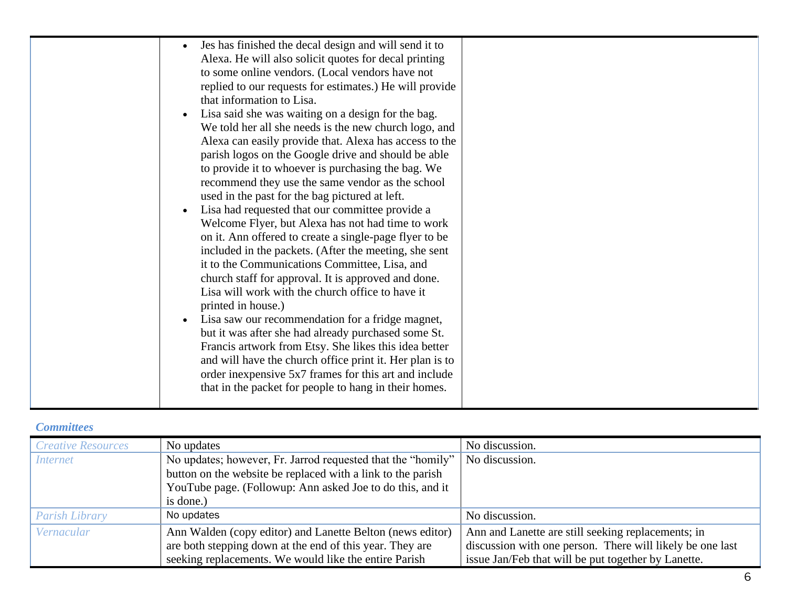### *Committees*

| <b>Creative Resources</b> | No updates                                                  | No discussion.                                            |
|---------------------------|-------------------------------------------------------------|-----------------------------------------------------------|
| <i>Internet</i>           | No updates; however, Fr. Jarrod requested that the "homily" | No discussion.                                            |
|                           | button on the website be replaced with a link to the parish |                                                           |
|                           | YouTube page. (Followup: Ann asked Joe to do this, and it   |                                                           |
|                           | is done.)                                                   |                                                           |
| Parish Library            | No updates                                                  | No discussion.                                            |
| Vernacular                | Ann Walden (copy editor) and Lanette Belton (news editor)   | Ann and Lanette are still seeking replacements; in        |
|                           | are both stepping down at the end of this year. They are    | discussion with one person. There will likely be one last |
|                           | seeking replacements. We would like the entire Parish       | issue Jan/Feb that will be put together by Lanette.       |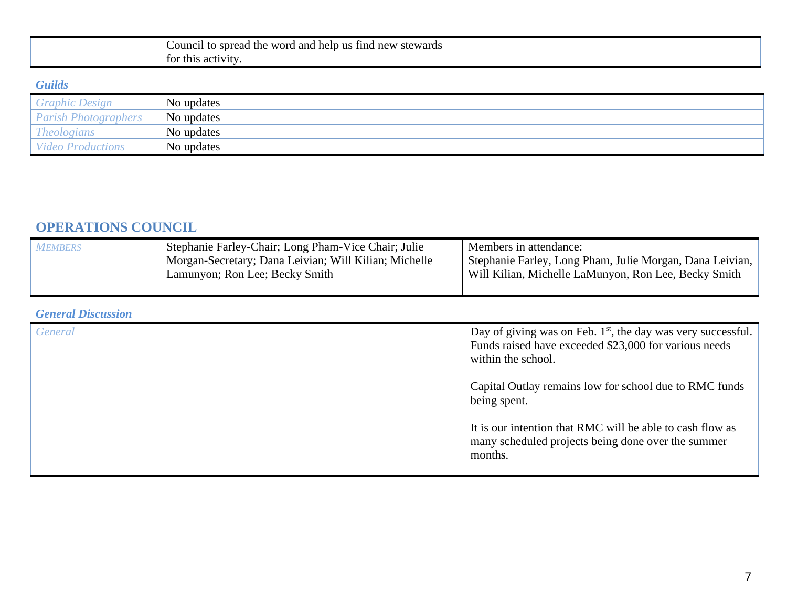| <b>A</b><br>Council<br>to spread<br>stewards<br>word<br>and<br>us:<br>help<br>11nd<br>the<br>new |  |
|--------------------------------------------------------------------------------------------------|--|
| ះ activity<br>for this                                                                           |  |

### *Guilds*

| <b>Graphic Design</b>       | No updates |  |
|-----------------------------|------------|--|
| <b>Parish Photographers</b> | No updates |  |
| <b>Theologians</b>          | No updates |  |
| <b>Video Productions</b>    | No updates |  |

# **OPERATIONS COUNCIL**

| <b>MEMBERS</b> | Stephanie Farley-Chair; Long Pham-Vice Chair; Julie   | Members in attendance:                                   |
|----------------|-------------------------------------------------------|----------------------------------------------------------|
|                | Morgan-Secretary; Dana Leivian; Will Kilian; Michelle | Stephanie Farley, Long Pham, Julie Morgan, Dana Leivian, |
|                | Lamunyon; Ron Lee; Becky Smith                        | Will Kilian, Michelle LaMunyon, Ron Lee, Becky Smith     |
|                |                                                       |                                                          |

### *General Discussion*

| General | Day of giving was on Feb. $1st$ , the day was very successful.<br>Funds raised have exceeded \$23,000 for various needs<br>within the school. |
|---------|-----------------------------------------------------------------------------------------------------------------------------------------------|
|         | Capital Outlay remains low for school due to RMC funds<br>being spent.                                                                        |
|         | It is our intention that RMC will be able to cash flow as<br>many scheduled projects being done over the summer<br>months.                    |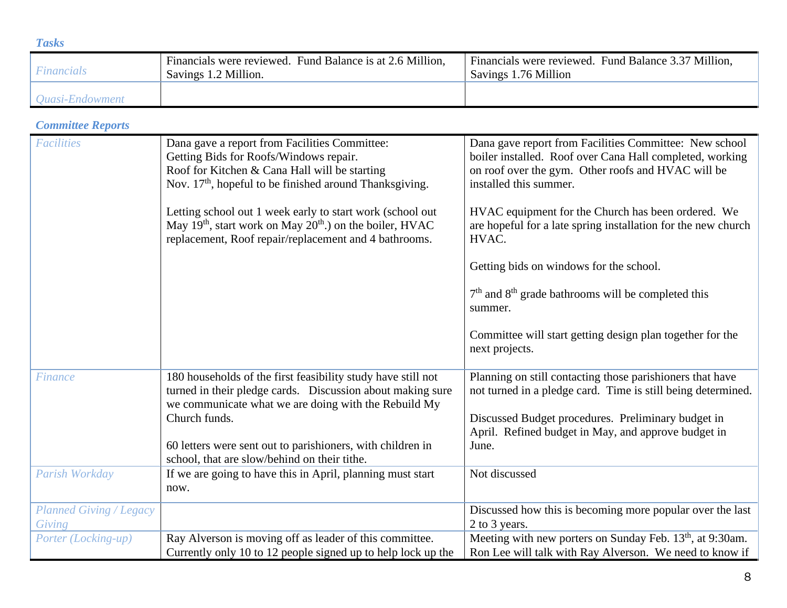| <b>Tasks</b>                  |                                                                                   |                                                                              |
|-------------------------------|-----------------------------------------------------------------------------------|------------------------------------------------------------------------------|
| <b>Financials</b>             | Financials were reviewed. Fund Balance is at 2.6 Million,<br>Savings 1.2 Million. | Financials were reviewed. Fund Balance 3.37 Million,<br>Savings 1.76 Million |
| <i><b>Quasi-Endowment</b></i> |                                                                                   |                                                                              |

# *Committee Reports*

| <b>Facilities</b>                        | Dana gave a report from Facilities Committee:<br>Getting Bids for Roofs/Windows repair.<br>Roof for Kitchen & Cana Hall will be starting<br>Nov. 17 <sup>th</sup> , hopeful to be finished around Thanksgiving. | Dana gave report from Facilities Committee: New school<br>boiler installed. Roof over Cana Hall completed, working<br>on roof over the gym. Other roofs and HVAC will be<br>installed this summer. |
|------------------------------------------|-----------------------------------------------------------------------------------------------------------------------------------------------------------------------------------------------------------------|----------------------------------------------------------------------------------------------------------------------------------------------------------------------------------------------------|
|                                          | Letting school out 1 week early to start work (school out<br>May 19 <sup>th</sup> , start work on May $20th$ .) on the boiler, HVAC<br>replacement, Roof repair/replacement and 4 bathrooms.                    | HVAC equipment for the Church has been ordered. We<br>are hopeful for a late spring installation for the new church<br>HVAC.                                                                       |
|                                          |                                                                                                                                                                                                                 | Getting bids on windows for the school.                                                                                                                                                            |
|                                          |                                                                                                                                                                                                                 | $7th$ and $8th$ grade bathrooms will be completed this<br>summer.                                                                                                                                  |
|                                          |                                                                                                                                                                                                                 | Committee will start getting design plan together for the<br>next projects.                                                                                                                        |
| Finance                                  | 180 households of the first feasibility study have still not<br>turned in their pledge cards. Discussion about making sure<br>we communicate what we are doing with the Rebuild My                              | Planning on still contacting those parishioners that have<br>not turned in a pledge card. Time is still being determined.                                                                          |
|                                          | Church funds.                                                                                                                                                                                                   | Discussed Budget procedures. Preliminary budget in<br>April. Refined budget in May, and approve budget in                                                                                          |
|                                          | 60 letters were sent out to parishioners, with children in<br>school, that are slow/behind on their tithe.                                                                                                      | June.                                                                                                                                                                                              |
| Parish Workday                           | If we are going to have this in April, planning must start<br>now.                                                                                                                                              | Not discussed                                                                                                                                                                                      |
| <b>Planned Giving / Legacy</b><br>Giving |                                                                                                                                                                                                                 | Discussed how this is becoming more popular over the last<br>2 to 3 years.                                                                                                                         |
| Porter (Locking-up)                      | Ray Alverson is moving off as leader of this committee.<br>Currently only 10 to 12 people signed up to help lock up the                                                                                         | Meeting with new porters on Sunday Feb. 13 <sup>th</sup> , at 9:30am.<br>Ron Lee will talk with Ray Alverson. We need to know if                                                                   |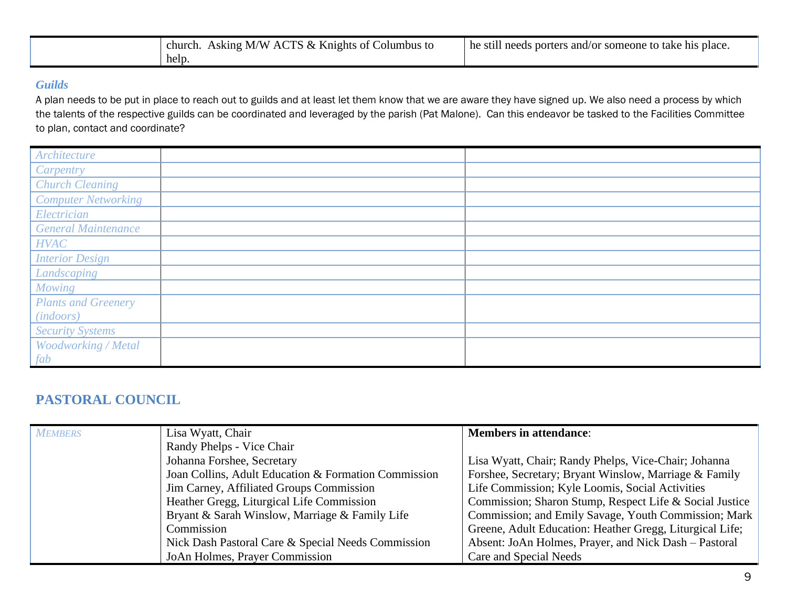| Asking M/W ACTS & Knights of Columbus to<br>church. | he still needs porters and/or someone to take his place. |
|-----------------------------------------------------|----------------------------------------------------------|
| help.                                               |                                                          |

### *Guilds*

A plan needs to be put in place to reach out to guilds and at least let them know that we are aware they have signed up. We also need a process by which the talents of the respective guilds can be coordinated and leveraged by the parish (Pat Malone). Can this endeavor be tasked to the Facilities Committee to plan, contact and coordinate?

| Architecture               |  |
|----------------------------|--|
| Carpentry                  |  |
| <b>Church Cleaning</b>     |  |
| <b>Computer Networking</b> |  |
| Electrician                |  |
| <b>General Maintenance</b> |  |
| <b>HVAC</b>                |  |
| <b>Interior Design</b>     |  |
| Landscaping                |  |
| <b>Mowing</b>              |  |
| <b>Plants and Greenery</b> |  |
| (in doors)                 |  |
| <b>Security Systems</b>    |  |
| Woodworking / Metal        |  |
| fab                        |  |

# **PASTORAL COUNCIL**

| <b>MEMBERS</b> | Lisa Wyatt, Chair                                    | <b>Members in attendance:</b>                            |
|----------------|------------------------------------------------------|----------------------------------------------------------|
|                | Randy Phelps - Vice Chair                            |                                                          |
|                | Johanna Forshee, Secretary                           | Lisa Wyatt, Chair; Randy Phelps, Vice-Chair; Johanna     |
|                | Joan Collins, Adult Education & Formation Commission | Forshee, Secretary; Bryant Winslow, Marriage & Family    |
|                | Jim Carney, Affiliated Groups Commission             | Life Commission; Kyle Loomis, Social Activities          |
|                | Heather Gregg, Liturgical Life Commission            | Commission; Sharon Stump, Respect Life & Social Justice  |
|                | Bryant & Sarah Winslow, Marriage & Family Life       | Commission; and Emily Savage, Youth Commission; Mark     |
|                | Commission                                           | Greene, Adult Education: Heather Gregg, Liturgical Life; |
|                | Nick Dash Pastoral Care & Special Needs Commission   | Absent: JoAn Holmes, Prayer, and Nick Dash – Pastoral    |
|                | JoAn Holmes, Prayer Commission                       | Care and Special Needs                                   |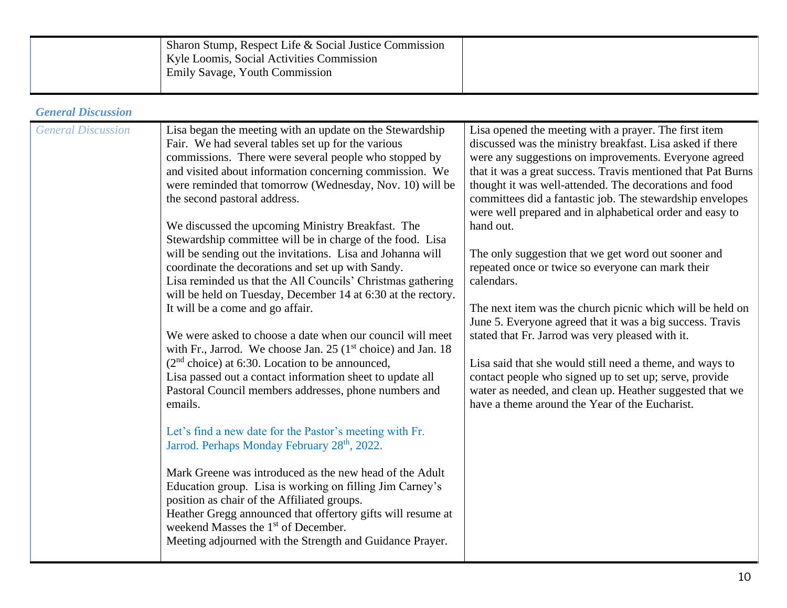| <b>General Discussion</b><br><b>General Discussion</b><br>Lisa began the meeting with an update on the Stewardship<br>Lisa opened the meeting with a prayer. The first item<br>Fair. We had several tables set up for the various<br>discussed was the ministry breakfast. Lisa asked if there<br>commissions. There were several people who stopped by<br>were any suggestions on improvements. Everyone agreed<br>and visited about information concerning commission. We<br>were reminded that tomorrow (Wednesday, Nov. 10) will be<br>thought it was well-attended. The decorations and food<br>the second pastoral address.<br>committees did a fantastic job. The stewardship envelopes<br>were well prepared and in alphabetical order and easy to<br>We discussed the upcoming Ministry Breakfast. The<br>hand out.<br>Stewardship committee will be in charge of the food. Lisa<br>will be sending out the invitations. Lisa and Johanna will<br>The only suggestion that we get word out sooner and<br>repeated once or twice so everyone can mark their<br>coordinate the decorations and set up with Sandy.<br>Lisa reminded us that the All Councils' Christmas gathering<br>calendars.<br>will be held on Tuesday, December 14 at 6:30 at the rectory.<br>It will be a come and go affair.<br>June 5. Everyone agreed that it was a big success. Travis<br>We were asked to choose a date when our council will meet<br>stated that Fr. Jarrod was very pleased with it.<br>with Fr., Jarrod. We choose Jan. 25 ( $1st$ choice) and Jan. 18<br>$(2nd choice)$ at 6:30. Location to be announced,<br>Lisa said that she would still need a theme, and ways to<br>Lisa passed out a contact information sheet to update all<br>contact people who signed up to set up; serve, provide<br>water as needed, and clean up. Heather suggested that we<br>Pastoral Council members addresses, phone numbers and<br>have a theme around the Year of the Eucharist.<br>emails.<br>Let's find a new date for the Pastor's meeting with Fr.<br>Jarrod. Perhaps Monday February 28 <sup>th</sup> , 2022.<br>Mark Greene was introduced as the new head of the Adult<br>Education group. Lisa is working on filling Jim Carney's<br>position as chair of the Affiliated groups.<br>Heather Gregg announced that offertory gifts will resume at<br>weekend Masses the 1 <sup>st</sup> of December.<br>Meeting adjourned with the Strength and Guidance Prayer. | Sharon Stump, Respect Life & Social Justice Commission<br>Kyle Loomis, Social Activities Commission<br>Emily Savage, Youth Commission |                                                                                                                           |
|-----------------------------------------------------------------------------------------------------------------------------------------------------------------------------------------------------------------------------------------------------------------------------------------------------------------------------------------------------------------------------------------------------------------------------------------------------------------------------------------------------------------------------------------------------------------------------------------------------------------------------------------------------------------------------------------------------------------------------------------------------------------------------------------------------------------------------------------------------------------------------------------------------------------------------------------------------------------------------------------------------------------------------------------------------------------------------------------------------------------------------------------------------------------------------------------------------------------------------------------------------------------------------------------------------------------------------------------------------------------------------------------------------------------------------------------------------------------------------------------------------------------------------------------------------------------------------------------------------------------------------------------------------------------------------------------------------------------------------------------------------------------------------------------------------------------------------------------------------------------------------------------------------------------------------------------------------------------------------------------------------------------------------------------------------------------------------------------------------------------------------------------------------------------------------------------------------------------------------------------------------------------------------------------------------------------------------------------------------------------------------------------------------------------------------------------------------------------|---------------------------------------------------------------------------------------------------------------------------------------|---------------------------------------------------------------------------------------------------------------------------|
|                                                                                                                                                                                                                                                                                                                                                                                                                                                                                                                                                                                                                                                                                                                                                                                                                                                                                                                                                                                                                                                                                                                                                                                                                                                                                                                                                                                                                                                                                                                                                                                                                                                                                                                                                                                                                                                                                                                                                                                                                                                                                                                                                                                                                                                                                                                                                                                                                                                                 |                                                                                                                                       |                                                                                                                           |
|                                                                                                                                                                                                                                                                                                                                                                                                                                                                                                                                                                                                                                                                                                                                                                                                                                                                                                                                                                                                                                                                                                                                                                                                                                                                                                                                                                                                                                                                                                                                                                                                                                                                                                                                                                                                                                                                                                                                                                                                                                                                                                                                                                                                                                                                                                                                                                                                                                                                 |                                                                                                                                       | that it was a great success. Travis mentioned that Pat Burns<br>The next item was the church picnic which will be held on |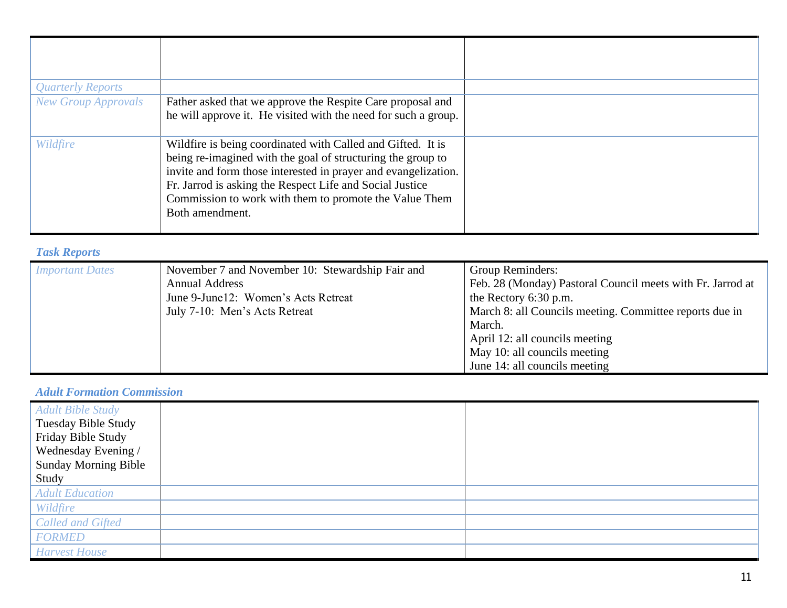| <b>Quarterly Reports</b>   |                                                                                                                                                                                                                                                                                                                                       |  |
|----------------------------|---------------------------------------------------------------------------------------------------------------------------------------------------------------------------------------------------------------------------------------------------------------------------------------------------------------------------------------|--|
| <b>New Group Approvals</b> | Father asked that we approve the Respite Care proposal and<br>he will approve it. He visited with the need for such a group.                                                                                                                                                                                                          |  |
| Wildfire                   | Wildfire is being coordinated with Called and Gifted. It is<br>being re-imagined with the goal of structuring the group to<br>invite and form those interested in prayer and evangelization.<br>Fr. Jarrod is asking the Respect Life and Social Justice<br>Commission to work with them to promote the Value Them<br>Both amendment. |  |

# *Task Reports*

| <b>Important Dates</b> | November 7 and November 10: Stewardship Fair and<br><b>Annual Address</b><br>June 9-June 12: Women's Acts Retreat<br>July 7-10: Men's Acts Retreat | Group Reminders:<br>Feb. 28 (Monday) Pastoral Council meets with Fr. Jarrod at<br>the Rectory 6:30 p.m.<br>March 8: all Councils meeting. Committee reports due in<br>March.<br>April 12: all councils meeting<br>May 10: all councils meeting |
|------------------------|----------------------------------------------------------------------------------------------------------------------------------------------------|------------------------------------------------------------------------------------------------------------------------------------------------------------------------------------------------------------------------------------------------|
|                        |                                                                                                                                                    | June 14: all councils meeting                                                                                                                                                                                                                  |

### *Adult Formation Commission*

| <b>Adult Bible Study</b><br>Tuesday Bible Study<br>Friday Bible Study<br>Wednesday Evening / |  |
|----------------------------------------------------------------------------------------------|--|
| <b>Sunday Morning Bible</b>                                                                  |  |
| Study                                                                                        |  |
| <b>Adult Education</b>                                                                       |  |
| Wildfire                                                                                     |  |
| <b>Called and Gifted</b>                                                                     |  |
| <b>FORMED</b>                                                                                |  |
| <b>Harvest House</b>                                                                         |  |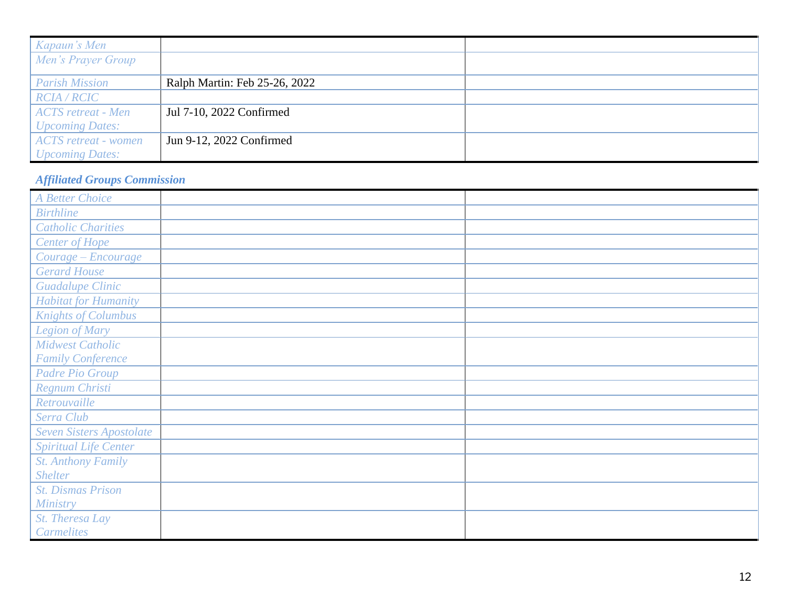| Kapaun's Men                    |                               |  |
|---------------------------------|-------------------------------|--|
| Men's Prayer Group              |                               |  |
|                                 |                               |  |
| <b>Parish Mission</b>           | Ralph Martin: Feb 25-26, 2022 |  |
| <b>RCIA / RCIC</b>              |                               |  |
| <sup>1</sup> ACTS retreat - Men | Jul 7-10, 2022 Confirmed      |  |
| <b>Upcoming Dates:</b>          |                               |  |
| <b>ACTS</b> retreat - women     | Jun 9-12, 2022 Confirmed      |  |
| <b>Upcoming Dates:</b>          |                               |  |

# *Affiliated Groups Commission*

| A Better Choice                 |  |
|---------------------------------|--|
| <b>Birthline</b>                |  |
| <b>Catholic Charities</b>       |  |
| <b>Center of Hope</b>           |  |
| Courage - Encourage             |  |
| <b>Gerard House</b>             |  |
| <b>Guadalupe Clinic</b>         |  |
| <b>Habitat for Humanity</b>     |  |
| <b>Knights of Columbus</b>      |  |
| Legion of Mary                  |  |
| <b>Midwest Catholic</b>         |  |
| <b>Family Conference</b>        |  |
| <b>Padre Pio Group</b>          |  |
| Regnum Christi                  |  |
| Retrouvaille                    |  |
| Serra Club                      |  |
| <b>Seven Sisters Apostolate</b> |  |
| <b>Spiritual Life Center</b>    |  |
| <b>St. Anthony Family</b>       |  |
| <b>Shelter</b>                  |  |
| <b>St. Dismas Prison</b>        |  |
| Ministry                        |  |
| St. Theresa Lay                 |  |
| <b>Carmelites</b>               |  |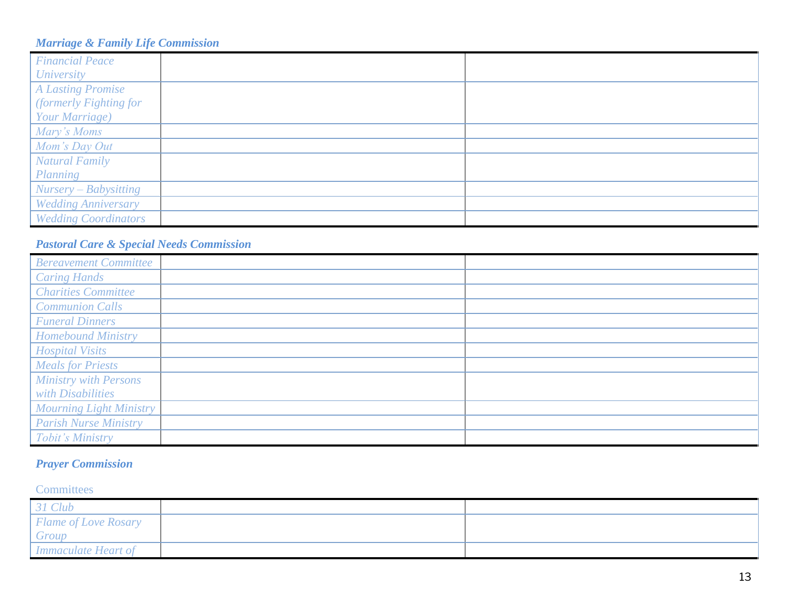### *Marriage & Family Life Commission*

| <b>Financial Peace</b><br><b>University</b>                          |  |
|----------------------------------------------------------------------|--|
| <b>A Lasting Promise</b><br>(formerly Fighting for<br>Your Marriage) |  |
| Mary's Moms                                                          |  |
| Mom's Day Out<br><b>Natural Family</b>                               |  |
| Planning<br>Nursery – Babysitting                                    |  |
| <b>Wedding Anniversary</b>                                           |  |
| <b>Wedding Coordinators</b>                                          |  |

### *Pastoral Care & Special Needs Commission*

| <b>Bereavement Committee</b>   |  |
|--------------------------------|--|
| <b>Caring Hands</b>            |  |
| <b>Charities Committee</b>     |  |
| <b>Communion Calls</b>         |  |
| <b>Funeral Dinners</b>         |  |
| <b>Homebound Ministry</b>      |  |
| <b>Hospital Visits</b>         |  |
| <b>Meals for Priests</b>       |  |
| <b>Ministry with Persons</b>   |  |
| with Disabilities              |  |
| <b>Mourning Light Ministry</b> |  |
| <b>Parish Nurse Ministry</b>   |  |
| Tobit's Ministry               |  |

# *Prayer Commission*

### **Committees**

| 31 Club                     |  |
|-----------------------------|--|
| <b>Flame of Love Rosary</b> |  |
| Group                       |  |
| <b>Immaculate Heart of</b>  |  |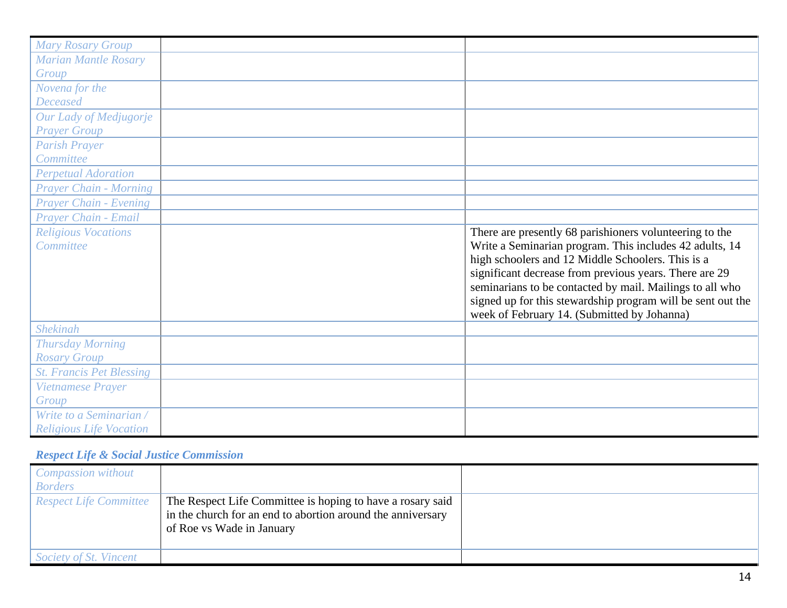| <b>Mary Rosary Group</b>        |                                                             |
|---------------------------------|-------------------------------------------------------------|
| <b>Marian Mantle Rosary</b>     |                                                             |
| Group                           |                                                             |
| Novena for the                  |                                                             |
| <b>Deceased</b>                 |                                                             |
| Our Lady of Medjugorje          |                                                             |
| <b>Prayer Group</b>             |                                                             |
| <b>Parish Prayer</b>            |                                                             |
| Committee                       |                                                             |
| <b>Perpetual Adoration</b>      |                                                             |
| <b>Prayer Chain - Morning</b>   |                                                             |
| <b>Prayer Chain - Evening</b>   |                                                             |
| Praver Chain - Email            |                                                             |
| <b>Religious Vocations</b>      | There are presently 68 parishioners volunteering to the     |
| Committee                       | Write a Seminarian program. This includes 42 adults, 14     |
|                                 | high schoolers and 12 Middle Schoolers. This is a           |
|                                 | significant decrease from previous years. There are 29      |
|                                 | seminarians to be contacted by mail. Mailings to all who    |
|                                 | signed up for this stewardship program will be sent out the |
|                                 | week of February 14. (Submitted by Johanna)                 |
| <b>Shekinah</b>                 |                                                             |
| <b>Thursday Morning</b>         |                                                             |
| <b>Rosary Group</b>             |                                                             |
| <b>St. Francis Pet Blessing</b> |                                                             |
| Vietnamese Prayer               |                                                             |
| Group                           |                                                             |
| Write to a Seminarian /         |                                                             |
| <b>Religious Life Vocation</b>  |                                                             |

# *Respect Life & Social Justice Commission*

| Compassion without<br><b>Borders</b> |                                                                                                                                                        |  |
|--------------------------------------|--------------------------------------------------------------------------------------------------------------------------------------------------------|--|
| <b>Respect Life Committee</b>        | The Respect Life Committee is hoping to have a rosary said<br>in the church for an end to abortion around the anniversary<br>of Roe vs Wade in January |  |
| Society of St. Vincent               |                                                                                                                                                        |  |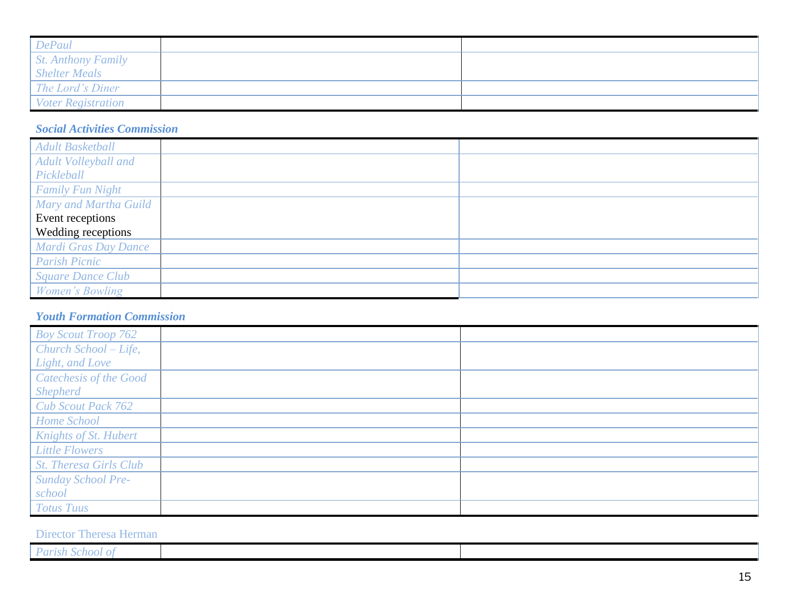| <b>DePaul</b>             |  |
|---------------------------|--|
| <i>St. Anthony Family</i> |  |
| <b>Shelter Meals</b>      |  |
| The Lord's Diner          |  |
| <i>Voter Registration</i> |  |

### *Social Activities Commission*

| <b>Adult Basketball</b>  |  |
|--------------------------|--|
| Adult Volleyball and     |  |
| Pickleball               |  |
| <b>Family Fun Night</b>  |  |
| Mary and Martha Guild    |  |
| Event receptions         |  |
| Wedding receptions       |  |
| Mardi Gras Day Dance     |  |
| <b>Parish Picnic</b>     |  |
| <b>Square Dance Club</b> |  |
| Women's Bowling          |  |

### *Youth Formation Commission*

| <b>Boy Scout Troop 762</b>    |  |
|-------------------------------|--|
| Church School - Life,         |  |
| Light, and Love               |  |
| Catechesis of the Good        |  |
| <b>Shepherd</b>               |  |
| <b>Cub Scout Pack 762</b>     |  |
| Home School                   |  |
| Knights of St. Hubert         |  |
| <b>Little Flowers</b>         |  |
| <b>St. Theresa Girls Club</b> |  |
| <b>Sunday School Pre-</b>     |  |
| school                        |  |
| <b>Totus Tuus</b>             |  |

### Director Theresa Herman

| $\mathbf{r}$<br>__<br>$\sim$ $\sim$ $\sim$ |  |
|--------------------------------------------|--|
| unsu school                                |  |
|                                            |  |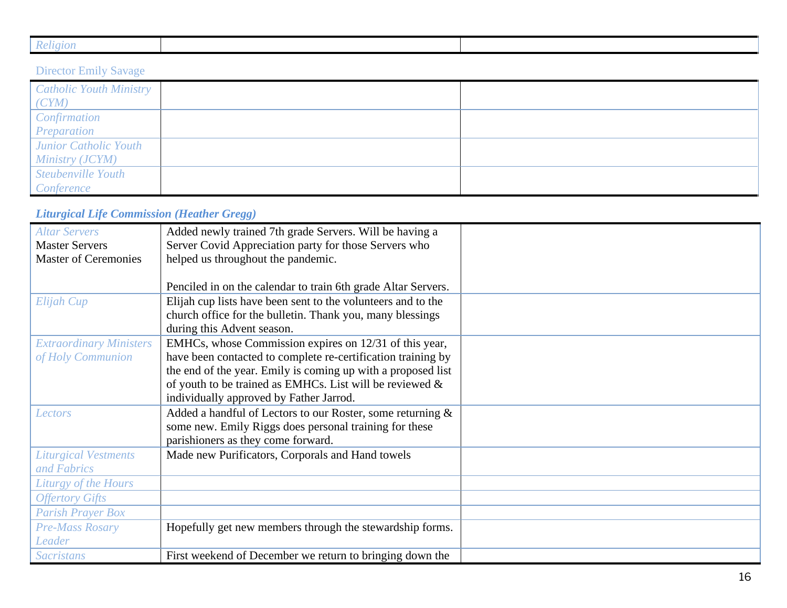| $i_{\sigma}$ |  |  |
|--------------|--|--|
|              |  |  |

# Director Emily Savage

| <b>Catholic Youth Ministry</b><br>(CYM) |  |
|-----------------------------------------|--|
| Confirmation                            |  |
| Preparation                             |  |
| Junior Catholic Youth                   |  |
| Ministry (JCYM)                         |  |
| Steubenville Youth                      |  |
| Conference                              |  |

# *Liturgical Life Commission (Heather Gregg)*

| <b>Altar Servers</b>           | Added newly trained 7th grade Servers. Will be having a       |  |
|--------------------------------|---------------------------------------------------------------|--|
| <b>Master Servers</b>          | Server Covid Appreciation party for those Servers who         |  |
| <b>Master of Ceremonies</b>    | helped us throughout the pandemic.                            |  |
|                                |                                                               |  |
|                                | Penciled in on the calendar to train 6th grade Altar Servers. |  |
| Elijah Cup                     | Elijah cup lists have been sent to the volunteers and to the  |  |
|                                | church office for the bulletin. Thank you, many blessings     |  |
|                                | during this Advent season.                                    |  |
| <b>Extraordinary Ministers</b> | EMHCs, whose Commission expires on 12/31 of this year,        |  |
| of Holy Communion              | have been contacted to complete re-certification training by  |  |
|                                | the end of the year. Emily is coming up with a proposed list  |  |
|                                | of youth to be trained as EMHCs. List will be reviewed $\&$   |  |
|                                | individually approved by Father Jarrod.                       |  |
| Lectors                        | Added a handful of Lectors to our Roster, some returning &    |  |
|                                | some new. Emily Riggs does personal training for these        |  |
|                                | parishioners as they come forward.                            |  |
| <b>Liturgical Vestments</b>    | Made new Purificators, Corporals and Hand towels              |  |
| and Fabrics                    |                                                               |  |
| Liturgy of the Hours           |                                                               |  |
| <b>Offertory Gifts</b>         |                                                               |  |
| <b>Parish Prayer Box</b>       |                                                               |  |
| Pre-Mass Rosary                | Hopefully get new members through the stewardship forms.      |  |
| Leader                         |                                                               |  |
| <b>Sacristans</b>              | First weekend of December we return to bringing down the      |  |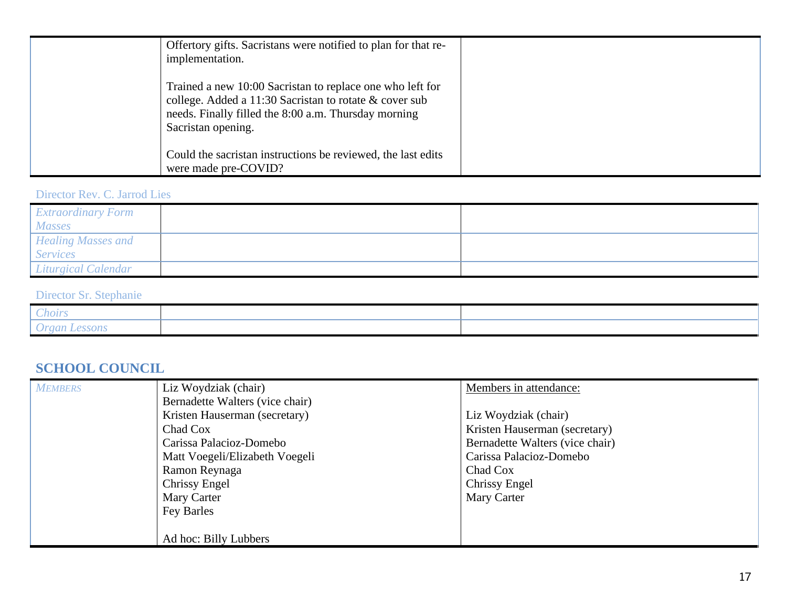| Offertory gifts. Sacristans were notified to plan for that re-<br>implementation.                                                                                                                 |  |
|---------------------------------------------------------------------------------------------------------------------------------------------------------------------------------------------------|--|
| Trained a new 10:00 Sacristan to replace one who left for<br>college. Added a 11:30 Sacristan to rotate & cover sub<br>needs. Finally filled the 8:00 a.m. Thursday morning<br>Sacristan opening. |  |
| Could the sacristan instructions be reviewed, the last edits<br>were made pre-COVID?                                                                                                              |  |

### Director Rev. C. Jarrod Lies

| <b>Extraordinary Form</b><br><b>Masses</b> |  |
|--------------------------------------------|--|
| <b>Healing Masses and</b>                  |  |
| <b>Services</b>                            |  |
| Liturgical Calendar                        |  |

# Director Sr. Stephanie

| --<br>hoirs                                           |  |
|-------------------------------------------------------|--|
| $\mu$ or $\alpha$<br>$\sim$ $U_{\ell\omega}$<br>- 211 |  |

# **SCHOOL COUNCIL**

| <b>MEMBERS</b> | Liz Woydziak (chair)            | Members in attendance:          |
|----------------|---------------------------------|---------------------------------|
|                | Bernadette Walters (vice chair) |                                 |
|                | Kristen Hauserman (secretary)   | Liz Woydziak (chair)            |
|                | Chad Cox                        | Kristen Hauserman (secretary)   |
|                | Carissa Palacioz-Domebo         | Bernadette Walters (vice chair) |
|                | Matt Voegeli/Elizabeth Voegeli  | Carissa Palacioz-Domebo         |
|                | Ramon Reynaga                   | Chad Cox                        |
|                | Chrissy Engel                   | <b>Chrissy Engel</b>            |
|                | Mary Carter                     | Mary Carter                     |
|                | Fey Barles                      |                                 |
|                |                                 |                                 |
|                | Ad hoc: Billy Lubbers           |                                 |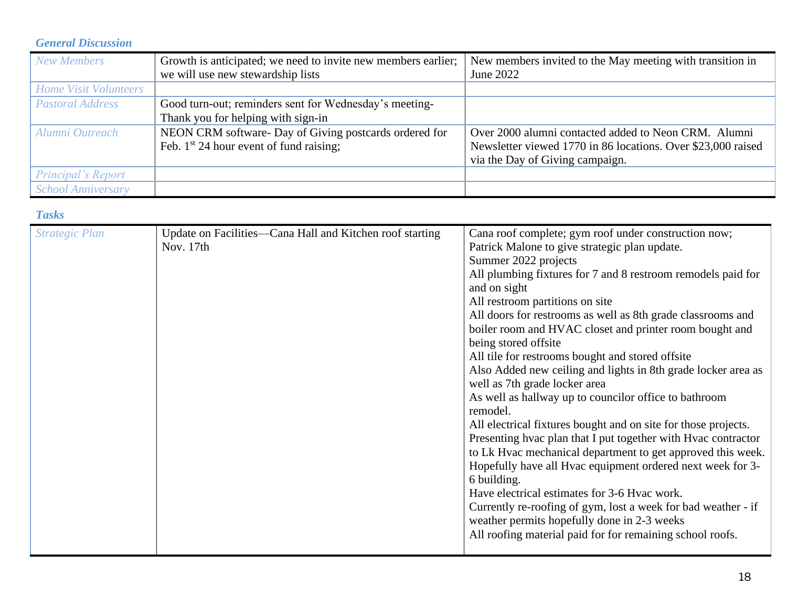### *General Discussion*

| <b>New Members</b>           | Growth is anticipated; we need to invite new members earlier; | New members invited to the May meeting with transition in    |
|------------------------------|---------------------------------------------------------------|--------------------------------------------------------------|
|                              | we will use new stewardship lists                             | June 2022                                                    |
| <b>Home Visit Volunteers</b> |                                                               |                                                              |
| <b>Pastoral Address</b>      | Good turn-out; reminders sent for Wednesday's meeting-        |                                                              |
|                              | Thank you for helping with sign-in                            |                                                              |
| Alumni Outreach              | NEON CRM software- Day of Giving postcards ordered for        | Over 2000 alumni contacted added to Neon CRM. Alumni         |
|                              | Feb. $1st 24$ hour event of fund raising;                     | Newsletter viewed 1770 in 86 locations. Over \$23,000 raised |
|                              |                                                               | via the Day of Giving campaign.                              |
| Principal's Report           |                                                               |                                                              |
| <b>School Anniversary</b>    |                                                               |                                                              |

### *Tasks*

| <b>Strategic Plan</b> | Update on Facilities—Cana Hall and Kitchen roof starting<br>Nov. 17th | Cana roof complete; gym roof under construction now;<br>Patrick Malone to give strategic plan update.<br>Summer 2022 projects<br>All plumbing fixtures for 7 and 8 restroom remodels paid for<br>and on sight<br>All restroom partitions on site |
|-----------------------|-----------------------------------------------------------------------|--------------------------------------------------------------------------------------------------------------------------------------------------------------------------------------------------------------------------------------------------|
|                       |                                                                       | All doors for restrooms as well as 8th grade classrooms and<br>boiler room and HVAC closet and printer room bought and<br>being stored offsite                                                                                                   |
|                       |                                                                       | All tile for restrooms bought and stored offsite<br>Also Added new ceiling and lights in 8th grade locker area as<br>well as 7th grade locker area                                                                                               |
|                       |                                                                       | As well as hallway up to councilor office to bathroom<br>remodel.                                                                                                                                                                                |
|                       |                                                                       | All electrical fixtures bought and on site for those projects.<br>Presenting hvac plan that I put together with Hvac contractor<br>to Lk Hvac mechanical department to get approved this week.                                                   |
|                       |                                                                       | Hopefully have all Hvac equipment ordered next week for 3-<br>6 building.                                                                                                                                                                        |
|                       |                                                                       | Have electrical estimates for 3-6 Hyac work.<br>Currently re-roofing of gym, lost a week for bad weather - if<br>weather permits hopefully done in 2-3 weeks                                                                                     |
|                       |                                                                       | All roofing material paid for for remaining school roofs.                                                                                                                                                                                        |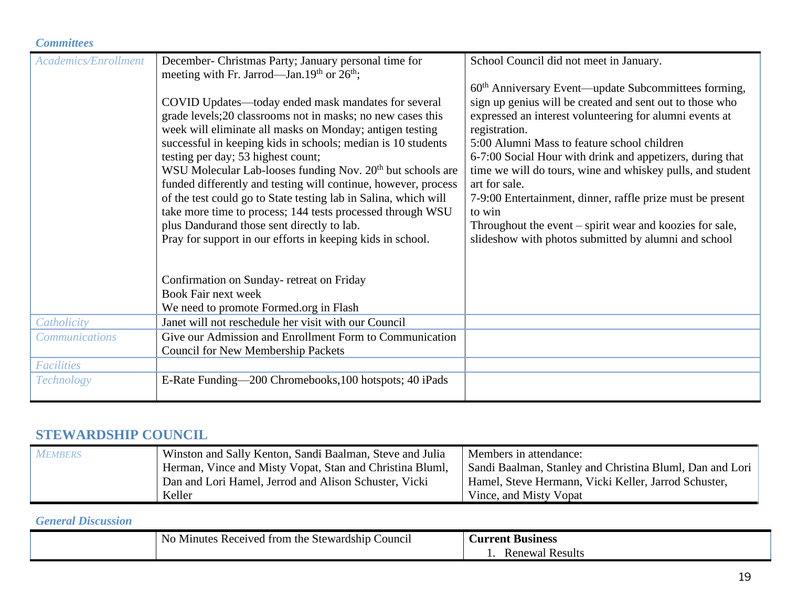### *Committees*

| <b>Academics/Enrollment</b> | December- Christmas Party; January personal time for                                                     | School Council did not meet in January.                                                                            |
|-----------------------------|----------------------------------------------------------------------------------------------------------|--------------------------------------------------------------------------------------------------------------------|
|                             | meeting with Fr. Jarrod—Jan.19 <sup>th</sup> or 26 <sup>th</sup> ;                                       |                                                                                                                    |
|                             |                                                                                                          | $60th$ Anniversary Event—update Subcommittees forming,                                                             |
|                             | COVID Updates—today ended mask mandates for several                                                      | sign up genius will be created and sent out to those who                                                           |
|                             | grade levels;20 classrooms not in masks; no new cases this                                               | expressed an interest volunteering for alumni events at                                                            |
|                             | week will eliminate all masks on Monday; antigen testing                                                 | registration.                                                                                                      |
|                             | successful in keeping kids in schools; median is 10 students                                             | 5:00 Alumni Mass to feature school children                                                                        |
|                             | testing per day; 53 highest count;                                                                       | 6-7:00 Social Hour with drink and appetizers, during that                                                          |
|                             | WSU Molecular Lab-looses funding Nov. 20 <sup>th</sup> but schools are                                   | time we will do tours, wine and whiskey pulls, and student                                                         |
|                             | funded differently and testing will continue, however, process                                           | art for sale.                                                                                                      |
|                             | of the test could go to State testing lab in Salina, which will                                          | 7-9:00 Entertainment, dinner, raffle prize must be present                                                         |
|                             | take more time to process; 144 tests processed through WSU                                               | to win                                                                                                             |
|                             | plus Dandurand those sent directly to lab.<br>Pray for support in our efforts in keeping kids in school. | Throughout the event $-$ spirit wear and koozies for sale,<br>slideshow with photos submitted by alumni and school |
|                             |                                                                                                          |                                                                                                                    |
|                             |                                                                                                          |                                                                                                                    |
|                             | Confirmation on Sunday-retreat on Friday                                                                 |                                                                                                                    |
|                             | <b>Book Fair next week</b>                                                                               |                                                                                                                    |
|                             | We need to promote Formed.org in Flash                                                                   |                                                                                                                    |
| Catholicity                 | Janet will not reschedule her visit with our Council                                                     |                                                                                                                    |
| <b>Communications</b>       | Give our Admission and Enrollment Form to Communication                                                  |                                                                                                                    |
|                             | <b>Council for New Membership Packets</b>                                                                |                                                                                                                    |
| Facilities                  |                                                                                                          |                                                                                                                    |
| <b>Technology</b>           | E-Rate Funding—200 Chromebooks, 100 hotspots; 40 iPads                                                   |                                                                                                                    |
|                             |                                                                                                          |                                                                                                                    |

# **STEWARDSHIP COUNCIL**

| <b>MEMBERS</b> | Winston and Sally Kenton, Sandi Baalman, Steve and Julia | Members in attendance:                                   |
|----------------|----------------------------------------------------------|----------------------------------------------------------|
|                | Herman, Vince and Misty Vopat, Stan and Christina Bluml, | Sandi Baalman, Stanley and Christina Bluml, Dan and Lori |
|                | Dan and Lori Hamel, Jerrod and Alison Schuster, Vicki    | Hamel, Steve Hermann, Vicki Keller, Jarrod Schuster,     |
|                | Keller                                                   | Vince, and Misty Vopat                                   |

### *General Discussion*

| $\vert$ No Minutes Received from the Stewardship C<br>Council | <b>Current Business</b> |
|---------------------------------------------------------------|-------------------------|
|                                                               | <b>Renewal Results</b>  |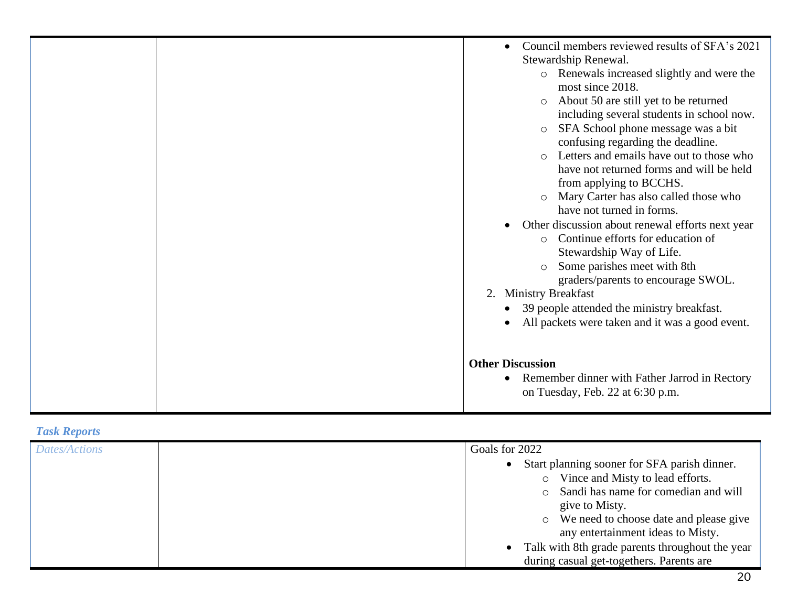|  | Council members reviewed results of SFA's 2021<br>$\bullet$<br>Stewardship Renewal.<br>Renewals increased slightly and were the<br>$\circ$<br>most since 2018.<br>About 50 are still yet to be returned<br>$\circ$<br>including several students in school now.<br>SFA School phone message was a bit<br>$\circ$<br>confusing regarding the deadline.<br>Letters and emails have out to those who<br>$\circ$<br>have not returned forms and will be held<br>from applying to BCCHS.<br>Mary Carter has also called those who<br>have not turned in forms.<br>Other discussion about renewal efforts next year<br>$\bullet$<br>Continue efforts for education of<br>$\circ$<br>Stewardship Way of Life.<br>Some parishes meet with 8th<br>$\circ$<br>graders/parents to encourage SWOL.<br>2. Ministry Breakfast |
|--|-----------------------------------------------------------------------------------------------------------------------------------------------------------------------------------------------------------------------------------------------------------------------------------------------------------------------------------------------------------------------------------------------------------------------------------------------------------------------------------------------------------------------------------------------------------------------------------------------------------------------------------------------------------------------------------------------------------------------------------------------------------------------------------------------------------------|
|  | 39 people attended the ministry breakfast.<br>$\bullet$<br>All packets were taken and it was a good event.                                                                                                                                                                                                                                                                                                                                                                                                                                                                                                                                                                                                                                                                                                      |
|  | <b>Other Discussion</b><br>Remember dinner with Father Jarrod in Rectory<br>$\bullet$<br>on Tuesday, Feb. 22 at 6:30 p.m.                                                                                                                                                                                                                                                                                                                                                                                                                                                                                                                                                                                                                                                                                       |

# *Task Reports*

| <b>Dates/Actions</b> | Goals for 2022                                    |
|----------------------|---------------------------------------------------|
|                      | Start planning sooner for SFA parish dinner.      |
|                      | Vince and Misty to lead efforts.<br>$\circ$       |
|                      | o Sandi has name for comedian and will            |
|                      | give to Misty.                                    |
|                      | • We need to choose date and please give          |
|                      | any entertainment ideas to Misty.                 |
|                      | • Talk with 8th grade parents throughout the year |
|                      | during casual get-togethers. Parents are          |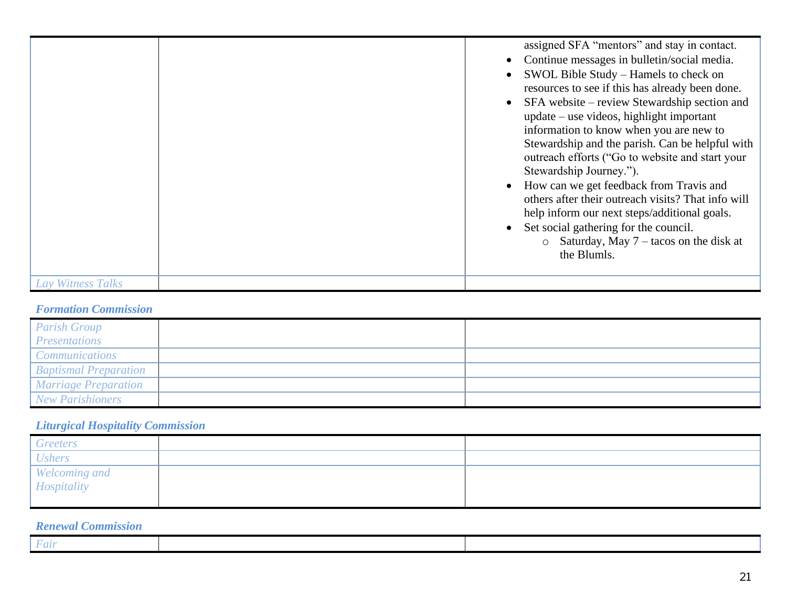|                   | assigned SFA "mentors" and stay in contact.<br>Continue messages in bulletin/social media.<br>SWOL Bible Study – Hamels to check on<br>resources to see if this has already been done.<br>SFA website – review Stewardship section and<br>$update - use videos, highlight important$<br>information to know when you are new to<br>Stewardship and the parish. Can be helpful with<br>outreach efforts ("Go to website and start your<br>Stewardship Journey.").<br>How can we get feedback from Travis and<br>others after their outreach visits? That info will<br>help inform our next steps/additional goals.<br>Set social gathering for the council.<br>$\circ$ Saturday, May 7 – tacos on the disk at<br>the Blumls. |
|-------------------|-----------------------------------------------------------------------------------------------------------------------------------------------------------------------------------------------------------------------------------------------------------------------------------------------------------------------------------------------------------------------------------------------------------------------------------------------------------------------------------------------------------------------------------------------------------------------------------------------------------------------------------------------------------------------------------------------------------------------------|
| Lay Witness Talks |                                                                                                                                                                                                                                                                                                                                                                                                                                                                                                                                                                                                                                                                                                                             |

### *Formation Commission*

| <b>Parish Group</b>          |  |
|------------------------------|--|
| <b>Presentations</b>         |  |
| <b>Communications</b>        |  |
| <b>Baptismal Preparation</b> |  |
| <b>Marriage Preparation</b>  |  |
| <b>New Parishioners</b>      |  |

# *Liturgical Hospitality Commission*

| <b>Greeters</b>              |  |
|------------------------------|--|
| <b>Ushers</b>                |  |
| Welcoming and<br>Hospitality |  |
|                              |  |
|                              |  |

### *Renewal Commission*

| $\sim$ |  |
|--------|--|
|        |  |
|        |  |
|        |  |
|        |  |